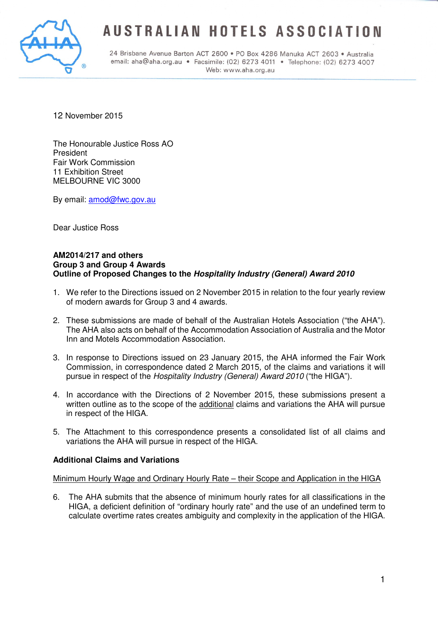

# **AUSTRALIAN HOTELS ASSOCIATION**

24 Brisbane Avenue Barton ACT 2600 · PO Box 4286 Manuka ACT 2603 · Australia email: aha@aha.org.au · Facsimile: (02) 6273 4011 · Telephone: (02) 6273 4007 Web: www.aha.org.au

12 November 2015

The Honourable Justice Ross AO President Fair Work Commission 11 Exhibition Street MELBOURNE VIC 3000

By email: amod@fwc.gov.au

Dear Justice Ross

#### **AM2014/217 and others Group 3 and Group 4 Awards Outline of Proposed Changes to the Hospitality Industry (General) Award 2010**

- 1. We refer to the Directions issued on 2 November 2015 in relation to the four yearly review of modern awards for Group 3 and 4 awards.
- 2. These submissions are made of behalf of the Australian Hotels Association ("the AHA"). The AHA also acts on behalf of the Accommodation Association of Australia and the Motor Inn and Motels Accommodation Association.
- 3. In response to Directions issued on 23 January 2015, the AHA informed the Fair Work Commission, in correspondence dated 2 March 2015, of the claims and variations it will pursue in respect of the Hospitality Industry (General) Award 2010 ("the HIGA").
- 4. In accordance with the Directions of 2 November 2015, these submissions present a written outline as to the scope of the additional claims and variations the AHA will pursue in respect of the HIGA.
- 5. The Attachment to this correspondence presents a consolidated list of all claims and variations the AHA will pursue in respect of the HIGA.

# **Additional Claims and Variations**

## Minimum Hourly Wage and Ordinary Hourly Rate – their Scope and Application in the HIGA

6. The AHA submits that the absence of minimum hourly rates for all classifications in the HIGA, a deficient definition of "ordinary hourly rate" and the use of an undefined term to calculate overtime rates creates ambiguity and complexity in the application of the HIGA.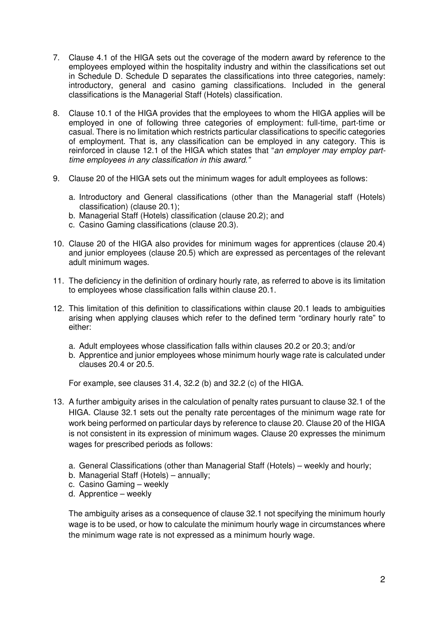- 7. Clause 4.1 of the HIGA sets out the coverage of the modern award by reference to the employees employed within the hospitality industry and within the classifications set out in Schedule D. Schedule D separates the classifications into three categories, namely: introductory, general and casino gaming classifications. Included in the general classifications is the Managerial Staff (Hotels) classification.
- 8. Clause 10.1 of the HIGA provides that the employees to whom the HIGA applies will be employed in one of following three categories of employment: full-time, part-time or casual. There is no limitation which restricts particular classifications to specific categories of employment. That is, any classification can be employed in any category. This is reinforced in clause 12.1 of the HIGA which states that "an employer may employ parttime employees in any classification in this award."
- 9. Clause 20 of the HIGA sets out the minimum wages for adult employees as follows:
	- a. Introductory and General classifications (other than the Managerial staff (Hotels) classification) (clause 20.1);
	- b. Managerial Staff (Hotels) classification (clause 20.2); and
	- c. Casino Gaming classifications (clause 20.3).
- 10. Clause 20 of the HIGA also provides for minimum wages for apprentices (clause 20.4) and junior employees (clause 20.5) which are expressed as percentages of the relevant adult minimum wages.
- 11. The deficiency in the definition of ordinary hourly rate, as referred to above is its limitation to employees whose classification falls within clause 20.1.
- 12. This limitation of this definition to classifications within clause 20.1 leads to ambiguities arising when applying clauses which refer to the defined term "ordinary hourly rate" to either:
	- a. Adult employees whose classification falls within clauses 20.2 or 20.3; and/or
	- b. Apprentice and junior employees whose minimum hourly wage rate is calculated under clauses 20.4 or 20.5.

For example, see clauses 31.4, 32.2 (b) and 32.2 (c) of the HIGA.

- 13. A further ambiguity arises in the calculation of penalty rates pursuant to clause 32.1 of the HIGA. Clause 32.1 sets out the penalty rate percentages of the minimum wage rate for work being performed on particular days by reference to clause 20. Clause 20 of the HIGA is not consistent in its expression of minimum wages. Clause 20 expresses the minimum wages for prescribed periods as follows:
	- a. General Classifications (other than Managerial Staff (Hotels) weekly and hourly;
	- b. Managerial Staff (Hotels) annually;
	- c. Casino Gaming weekly
	- d. Apprentice weekly

The ambiguity arises as a consequence of clause 32.1 not specifying the minimum hourly wage is to be used, or how to calculate the minimum hourly wage in circumstances where the minimum wage rate is not expressed as a minimum hourly wage.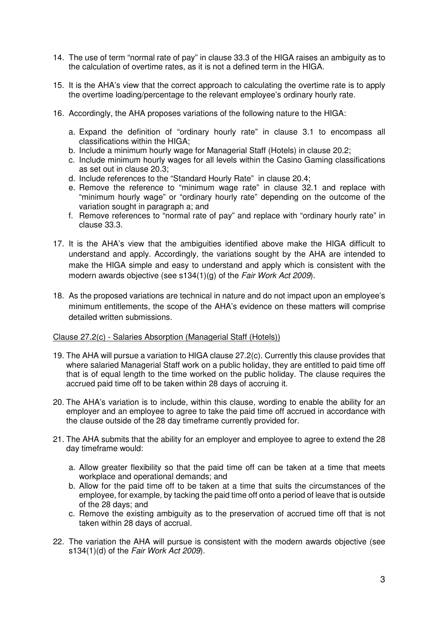- 14. The use of term "normal rate of pay" in clause 33.3 of the HIGA raises an ambiguity as to the calculation of overtime rates, as it is not a defined term in the HIGA.
- 15. It is the AHA's view that the correct approach to calculating the overtime rate is to apply the overtime loading/percentage to the relevant employee's ordinary hourly rate.
- 16. Accordingly, the AHA proposes variations of the following nature to the HIGA:
	- a. Expand the definition of "ordinary hourly rate" in clause 3.1 to encompass all classifications within the HIGA;
	- b. Include a minimum hourly wage for Managerial Staff (Hotels) in clause 20.2;
	- c. Include minimum hourly wages for all levels within the Casino Gaming classifications as set out in clause 20.3;
	- d. Include references to the "Standard Hourly Rate" in clause 20.4;
	- e. Remove the reference to "minimum wage rate" in clause 32.1 and replace with "minimum hourly wage" or "ordinary hourly rate" depending on the outcome of the variation sought in paragraph a; and
	- f. Remove references to "normal rate of pay" and replace with "ordinary hourly rate" in clause 33.3.
- 17. It is the AHA's view that the ambiguities identified above make the HIGA difficult to understand and apply. Accordingly, the variations sought by the AHA are intended to make the HIGA simple and easy to understand and apply which is consistent with the modern awards objective (see s134(1)(g) of the Fair Work Act 2009).
- 18. As the proposed variations are technical in nature and do not impact upon an employee's minimum entitlements, the scope of the AHA's evidence on these matters will comprise detailed written submissions.

#### Clause 27.2(c) - Salaries Absorption (Managerial Staff (Hotels))

- 19. The AHA will pursue a variation to HIGA clause 27.2(c). Currently this clause provides that where salaried Managerial Staff work on a public holiday, they are entitled to paid time off that is of equal length to the time worked on the public holiday. The clause requires the accrued paid time off to be taken within 28 days of accruing it.
- 20. The AHA's variation is to include, within this clause, wording to enable the ability for an employer and an employee to agree to take the paid time off accrued in accordance with the clause outside of the 28 day timeframe currently provided for.
- 21. The AHA submits that the ability for an employer and employee to agree to extend the 28 day timeframe would:
	- a. Allow greater flexibility so that the paid time off can be taken at a time that meets workplace and operational demands; and
	- b. Allow for the paid time off to be taken at a time that suits the circumstances of the employee, for example, by tacking the paid time off onto a period of leave that is outside of the 28 days; and
	- c. Remove the existing ambiguity as to the preservation of accrued time off that is not taken within 28 days of accrual.
- 22. The variation the AHA will pursue is consistent with the modern awards objective (see s134(1)(d) of the Fair Work Act 2009).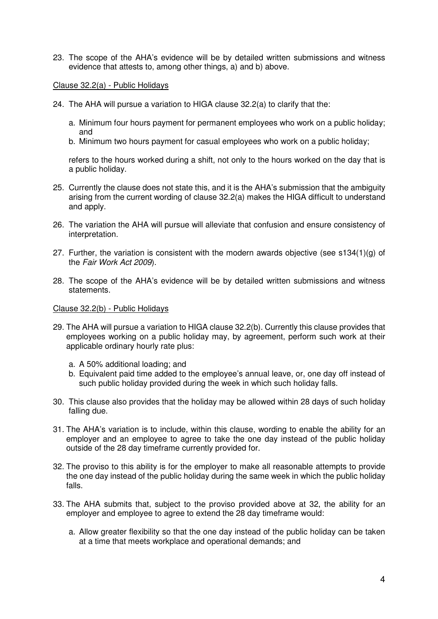23. The scope of the AHA's evidence will be by detailed written submissions and witness evidence that attests to, among other things, a) and b) above.

#### Clause 32.2(a) - Public Holidays

- 24. The AHA will pursue a variation to HIGA clause 32.2(a) to clarify that the:
	- a. Minimum four hours payment for permanent employees who work on a public holiday; and
	- b. Minimum two hours payment for casual employees who work on a public holiday;

refers to the hours worked during a shift, not only to the hours worked on the day that is a public holiday.

- 25. Currently the clause does not state this, and it is the AHA's submission that the ambiguity arising from the current wording of clause 32.2(a) makes the HIGA difficult to understand and apply.
- 26. The variation the AHA will pursue will alleviate that confusion and ensure consistency of interpretation.
- 27. Further, the variation is consistent with the modern awards objective (see  $s134(1)(g)$  of the Fair Work Act 2009).
- 28. The scope of the AHA's evidence will be by detailed written submissions and witness statements.

#### Clause 32.2(b) - Public Holidays

- 29. The AHA will pursue a variation to HIGA clause 32.2(b). Currently this clause provides that employees working on a public holiday may, by agreement, perform such work at their applicable ordinary hourly rate plus:
	- a. A 50% additional loading; and
	- b. Equivalent paid time added to the employee's annual leave, or, one day off instead of such public holiday provided during the week in which such holiday falls.
- 30. This clause also provides that the holiday may be allowed within 28 days of such holiday falling due.
- 31. The AHA's variation is to include, within this clause, wording to enable the ability for an employer and an employee to agree to take the one day instead of the public holiday outside of the 28 day timeframe currently provided for.
- 32. The proviso to this ability is for the employer to make all reasonable attempts to provide the one day instead of the public holiday during the same week in which the public holiday falls.
- 33. The AHA submits that, subject to the proviso provided above at 32, the ability for an employer and employee to agree to extend the 28 day timeframe would:
	- a. Allow greater flexibility so that the one day instead of the public holiday can be taken at a time that meets workplace and operational demands; and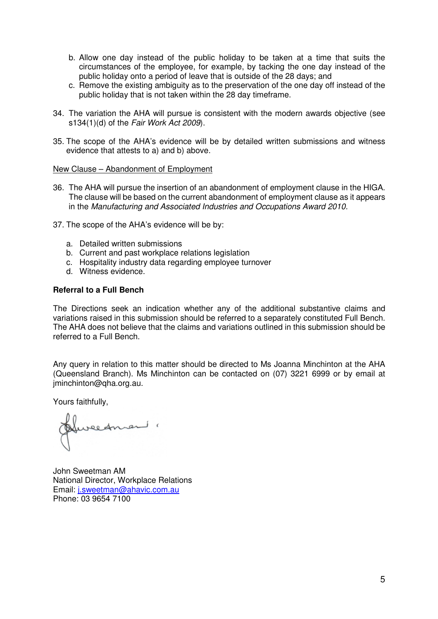- b. Allow one day instead of the public holiday to be taken at a time that suits the circumstances of the employee, for example, by tacking the one day instead of the public holiday onto a period of leave that is outside of the 28 days; and
- c. Remove the existing ambiguity as to the preservation of the one day off instead of the public holiday that is not taken within the 28 day timeframe.
- 34. The variation the AHA will pursue is consistent with the modern awards objective (see s134(1)(d) of the Fair Work Act 2009).
- 35. The scope of the AHA's evidence will be by detailed written submissions and witness evidence that attests to a) and b) above.

#### New Clause – Abandonment of Employment

- 36. The AHA will pursue the insertion of an abandonment of employment clause in the HIGA. The clause will be based on the current abandonment of employment clause as it appears in the Manufacturing and Associated Industries and Occupations Award 2010.
- 37. The scope of the AHA's evidence will be by:
	- a. Detailed written submissions
	- b. Current and past workplace relations legislation
	- c. Hospitality industry data regarding employee turnover
	- d. Witness evidence.

## **Referral to a Full Bench**

The Directions seek an indication whether any of the additional substantive claims and variations raised in this submission should be referred to a separately constituted Full Bench. The AHA does not believe that the claims and variations outlined in this submission should be referred to a Full Bench.

Any query in relation to this matter should be directed to Ms Joanna Minchinton at the AHA (Queensland Branch). Ms Minchinton can be contacted on (07) 3221 6999 or by email at jminchinton@qha.org.au.

Yours faithfully,

Huredman "

John Sweetman AM National Director, Workplace Relations Email: j.sweetman@ahavic.com.au Phone: 03 9654 7100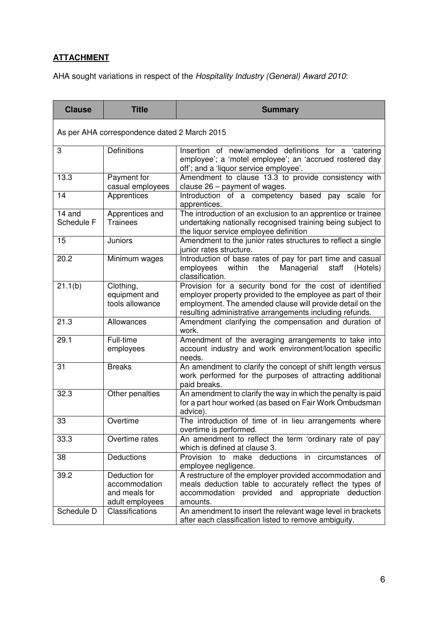# **ATTACHMENT**

AHA sought variations in respect of the Hospitality Industry (General) Award 2010:

| <b>Clause</b>                                | <b>Title</b>                                                       | <b>Summary</b>                                                                                                                                                                                                                                   |
|----------------------------------------------|--------------------------------------------------------------------|--------------------------------------------------------------------------------------------------------------------------------------------------------------------------------------------------------------------------------------------------|
| As per AHA correspondence dated 2 March 2015 |                                                                    |                                                                                                                                                                                                                                                  |
| 3                                            | <b>Definitions</b>                                                 | Insertion of new/amended definitions for a 'catering<br>employee'; a 'motel employee'; an 'accrued rostered day<br>off'; and a 'liquor service employee'.                                                                                        |
| 13.3                                         | Payment for<br>casual employees                                    | Amendment to clause 13.3 to provide consistency with<br>clause $26$ – payment of wages.                                                                                                                                                          |
| 14                                           | Apprentices                                                        | Introduction of a competency based pay scale for<br>apprentices.                                                                                                                                                                                 |
| 14 and<br>Schedule F                         | Apprentices and<br>Trainees                                        | The introduction of an exclusion to an apprentice or trainee<br>undertaking nationally recognised training being subject to<br>the liquor service employee definition                                                                            |
| 15                                           | Juniors                                                            | Amendment to the junior rates structures to reflect a single<br>junior rates structure.                                                                                                                                                          |
| 20.2                                         | Minimum wages                                                      | Introduction of base rates of pay for part time and casual<br>employees<br>within<br>Managerial<br>staff<br>the<br>(Hotels)<br>classification.                                                                                                   |
| 21.1(b)                                      | Clothing,<br>equipment and<br>tools allowance                      | Provision for a security bond for the cost of identified<br>employer property provided to the employee as part of their<br>employment. The amended clause will provide detail on the<br>resulting administrative arrangements including refunds. |
| 21.3                                         | Allowances                                                         | Amendment clarifying the compensation and duration of<br>work.                                                                                                                                                                                   |
| 29.1                                         | Full-time<br>employees                                             | Amendment of the averaging arrangements to take into<br>account industry and work environment/location specific<br>needs.                                                                                                                        |
| 31                                           | <b>Breaks</b>                                                      | An amendment to clarify the concept of shift length versus<br>work performed for the purposes of attracting additional<br>paid breaks.                                                                                                           |
| 32.3                                         | Other penalties                                                    | An amendment to clarify the way in which the penalty is paid<br>for a part hour worked (as based on Fair Work Ombudsman<br>advice).                                                                                                              |
| 33                                           | Overtime                                                           | The introduction of time of in lieu arrangements where<br>overtime is performed.                                                                                                                                                                 |
| 33.3                                         | Overtime rates                                                     | An amendment to reflect the term 'ordinary rate of pay'<br>which is defined at clause 3.                                                                                                                                                         |
| 38                                           | Deductions                                                         | deductions in circumstances<br>Provision<br>make<br>to<br>of<br>employee negligence.                                                                                                                                                             |
| 39.2                                         | Deduction for<br>accommodation<br>and meals for<br>adult employees | A restructure of the employer provided accommodation and<br>meals deduction table to accurately reflect the types of<br>accommodation provided and appropriate deduction<br>amounts.                                                             |
| Schedule D                                   | Classifications                                                    | An amendment to insert the relevant wage level in brackets<br>after each classification listed to remove ambiguity.                                                                                                                              |